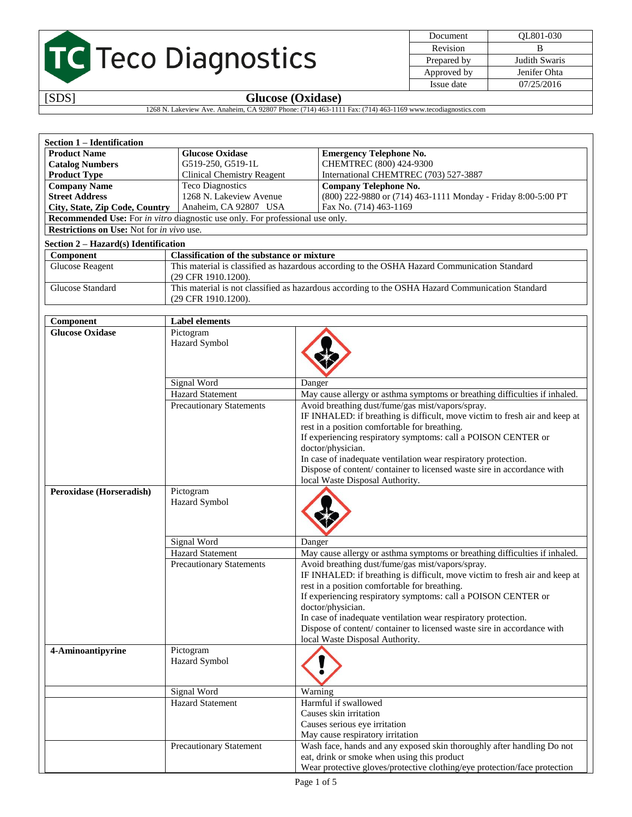| <b>TC</b> Teco Diagnostics |  |
|----------------------------|--|

| Document    | OL801-030     |
|-------------|---------------|
| Revision    |               |
| Prepared by | Judith Swaris |
| Approved by | Jenifer Ohta  |
| Issue date  | 07/25/2016    |

## [SDS] **Glucose (Oxidase)**

1268 N. Lakeview Ave. Anaheim, CA 92807 Phone: (714) 463-1111 Fax: (714) 463-1169 www.tecodiagnostics.com

| Section 1 – Identification                                                                  |                                                                                              |  |  |  |
|---------------------------------------------------------------------------------------------|----------------------------------------------------------------------------------------------|--|--|--|
| <b>Product Name</b>                                                                         | <b>Glucose Oxidase</b><br><b>Emergency Telephone No.</b>                                     |  |  |  |
| <b>Catalog Numbers</b>                                                                      | CHEMTREC (800) 424-9300<br>G519-250, G519-1L                                                 |  |  |  |
| <b>Product Type</b>                                                                         | International CHEMTREC (703) 527-3887<br><b>Clinical Chemistry Reagent</b>                   |  |  |  |
| <b>Teco Diagnostics</b><br><b>Company Telephone No.</b><br><b>Company Name</b>              |                                                                                              |  |  |  |
| <b>Street Address</b>                                                                       | 1268 N. Lakeview Avenue<br>(800) 222-9880 or (714) 463-1111 Monday - Friday 8:00-5:00 PT     |  |  |  |
| City, State, Zip Code, Country                                                              | Fax No. (714) 463-1169<br>Anaheim, CA 92807 USA                                              |  |  |  |
| <b>Recommended Use:</b> For <i>in vitro</i> diagnostic use only. For professional use only. |                                                                                              |  |  |  |
| <b>Restrictions on Use:</b> Not for <i>in vivo</i> use.                                     |                                                                                              |  |  |  |
| Section 2 – Hazard(s) Identification                                                        |                                                                                              |  |  |  |
| Component                                                                                   | <b>Classification of the substance or mixture</b>                                            |  |  |  |
| Glucose Reagent                                                                             | This material is classified as hazardous according to the OSHA Hazard Communication Standard |  |  |  |

| <b>UNICOSE REAGEME</b> | This material is classified as nazardous according to the OSHA Hazard Communication Standard<br>$(29$ CFR 1910.1200).     |
|------------------------|---------------------------------------------------------------------------------------------------------------------------|
| Glucose Standard       | This material is not classified as hazardous according to the OSHA Hazard Communication Standard<br>$(29$ CFR 1910.1200). |

| Component                       | <b>Label elements</b>           |                                                                                                                                                                                                                                                                                                                                                                                                                                                        |
|---------------------------------|---------------------------------|--------------------------------------------------------------------------------------------------------------------------------------------------------------------------------------------------------------------------------------------------------------------------------------------------------------------------------------------------------------------------------------------------------------------------------------------------------|
| <b>Glucose Oxidase</b>          | Pictogram<br>Hazard Symbol      |                                                                                                                                                                                                                                                                                                                                                                                                                                                        |
|                                 | Signal Word                     | Danger                                                                                                                                                                                                                                                                                                                                                                                                                                                 |
|                                 | <b>Hazard Statement</b>         | May cause allergy or asthma symptoms or breathing difficulties if inhaled.                                                                                                                                                                                                                                                                                                                                                                             |
|                                 | <b>Precautionary Statements</b> | Avoid breathing dust/fume/gas mist/vapors/spray.<br>IF INHALED: if breathing is difficult, move victim to fresh air and keep at<br>rest in a position comfortable for breathing.<br>If experiencing respiratory symptoms: call a POISON CENTER or<br>doctor/physician.<br>In case of inadequate ventilation wear respiratory protection.<br>Dispose of content/ container to licensed waste sire in accordance with<br>local Waste Disposal Authority. |
| <b>Peroxidase (Horseradish)</b> | Pictogram<br>Hazard Symbol      |                                                                                                                                                                                                                                                                                                                                                                                                                                                        |
|                                 | Signal Word                     | Danger                                                                                                                                                                                                                                                                                                                                                                                                                                                 |
|                                 | <b>Hazard Statement</b>         | May cause allergy or asthma symptoms or breathing difficulties if inhaled.                                                                                                                                                                                                                                                                                                                                                                             |
|                                 | <b>Precautionary Statements</b> | Avoid breathing dust/fume/gas mist/vapors/spray.<br>IF INHALED: if breathing is difficult, move victim to fresh air and keep at<br>rest in a position comfortable for breathing.<br>If experiencing respiratory symptoms: call a POISON CENTER or<br>doctor/physician.<br>In case of inadequate ventilation wear respiratory protection.<br>Dispose of content/container to licensed waste sire in accordance with<br>local Waste Disposal Authority.  |
| 4-Aminoantipyrine               | Pictogram<br>Hazard Symbol      |                                                                                                                                                                                                                                                                                                                                                                                                                                                        |
|                                 | <b>Signal Word</b>              | Warning                                                                                                                                                                                                                                                                                                                                                                                                                                                |
|                                 | <b>Hazard Statement</b>         | Harmful if swallowed<br>Causes skin irritation<br>Causes serious eye irritation<br>May cause respiratory irritation                                                                                                                                                                                                                                                                                                                                    |
|                                 | Precautionary Statement         | Wash face, hands and any exposed skin thoroughly after handling Do not<br>eat, drink or smoke when using this product<br>Wear protective gloves/protective clothing/eye protection/face protection                                                                                                                                                                                                                                                     |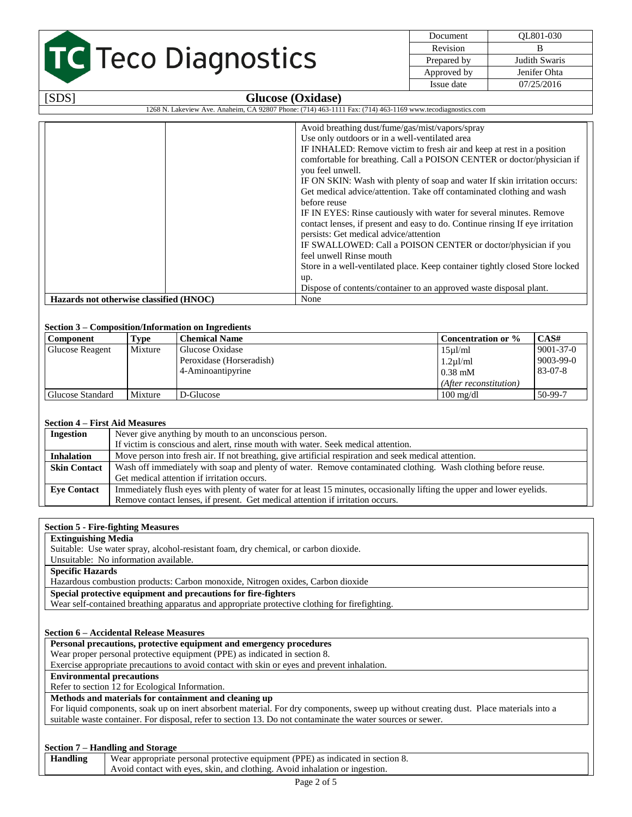# TC Teco Diagnostics

| Document    |             | OL801-030     |
|-------------|-------------|---------------|
| Revision    |             |               |
| Prepared by |             | Judith Swaris |
|             | Approved by | Jenifer Ohta  |
|             | Issue date  | 07/25/2016    |

| [SDS]                                                                                                     | <b>Glucose (Oxidase)</b>                                                                                                                                                                                                                                                                                                                                                                                                                                                                                                                                                                                                                                                                                                                                                                                                                                                                                  |  |
|-----------------------------------------------------------------------------------------------------------|-----------------------------------------------------------------------------------------------------------------------------------------------------------------------------------------------------------------------------------------------------------------------------------------------------------------------------------------------------------------------------------------------------------------------------------------------------------------------------------------------------------------------------------------------------------------------------------------------------------------------------------------------------------------------------------------------------------------------------------------------------------------------------------------------------------------------------------------------------------------------------------------------------------|--|
| 1268 N. Lakeview Ave. Anaheim, CA 92807 Phone: (714) 463-1111 Fax: (714) 463-1169 www.tecodiagnostics.com |                                                                                                                                                                                                                                                                                                                                                                                                                                                                                                                                                                                                                                                                                                                                                                                                                                                                                                           |  |
|                                                                                                           | Avoid breathing dust/fume/gas/mist/vapors/spray<br>Use only outdoors or in a well-ventilated area<br>IF INHALED: Remove victim to fresh air and keep at rest in a position<br>comfortable for breathing. Call a POISON CENTER or doctor/physician if<br>you feel unwell.<br>IF ON SKIN: Wash with plenty of soap and water If skin irritation occurs:<br>Get medical advice/attention. Take off contaminated clothing and wash<br>before reuse<br>IF IN EYES: Rinse cautiously with water for several minutes. Remove<br>contact lenses, if present and easy to do. Continue rinsing If eye irritation<br>persists: Get medical advice/attention<br>IF SWALLOWED: Call a POISON CENTER or doctor/physician if you<br>feel unwell Rinse mouth<br>Store in a well-ventilated place. Keep container tightly closed Store locked<br>up.<br>Dispose of contents/container to an approved waste disposal plant. |  |
| Hazards not otherwise classified (HNOC)                                                                   | None                                                                                                                                                                                                                                                                                                                                                                                                                                                                                                                                                                                                                                                                                                                                                                                                                                                                                                      |  |

#### **Section 3 – Composition/Information on Ingredients**

| <b>Component</b>       | Type    | <b>Chemical Name</b>     | Concentration or %     | CAS#            |
|------------------------|---------|--------------------------|------------------------|-----------------|
| <b>Glucose Reagent</b> | Mixture | Glucose Oxidase          | 15ul/ml                | $9001 - 37 - 0$ |
|                        |         | Peroxidase (Horseradish) | $1.2 \mu$ l/ml         | $9003 - 99 - 0$ |
|                        |         | 4-Aminoantipyrine        | $0.38$ mM              | 83-07-8         |
|                        |         |                          | (After reconstitution) |                 |
| Glucose Standard       | Mixture | D-Glucose                | $100 \text{ mg/dl}$    | 50-99-7         |

#### **Section 4 – First Aid Measures**

| <b>Ingestion</b>    | Never give anything by mouth to an unconscious person.                                                                 |  |
|---------------------|------------------------------------------------------------------------------------------------------------------------|--|
|                     | If victim is conscious and alert, rinse mouth with water. Seek medical attention.                                      |  |
| <b>Inhalation</b>   | Move person into fresh air. If not breathing, give artificial respiration and seek medical attention.                  |  |
| <b>Skin Contact</b> | Wash off immediately with soap and plenty of water. Remove contaminated clothing. Wash clothing before reuse.          |  |
|                     | Get medical attention if irritation occurs.                                                                            |  |
| <b>Eye Contact</b>  | Immediately flush eyes with plenty of water for at least 15 minutes, occasionally lifting the upper and lower eyelids. |  |
|                     | Remove contact lenses, if present. Get medical attention if irritation occurs.                                         |  |

#### **Section 5 - Fire-fighting Measures**

#### **Extinguishing Media**

Suitable: Use water spray, alcohol-resistant foam, dry chemical, or carbon dioxide.

Unsuitable: No information available.

**Specific Hazards**

Hazardous combustion products: Carbon monoxide, Nitrogen oxides, Carbon dioxide

**Special protective equipment and precautions for fire-fighters**

Wear self-contained breathing apparatus and appropriate protective clothing for firefighting.

#### **Section 6 – Accidental Release Measures**

**Personal precautions, protective equipment and emergency procedures**

Wear proper personal protective equipment (PPE) as indicated in section 8.

Exercise appropriate precautions to avoid contact with skin or eyes and prevent inhalation.

## **Environmental precautions**

Refer to section 12 for Ecological Information.

### **Methods and materials for containment and cleaning up**

For liquid components, soak up on inert absorbent material. For dry components, sweep up without creating dust. Place materials into a suitable waste container. For disposal, refer to section 13. Do not contaminate the water sources or sewer.

#### **Section 7 – Handling and Storage**

| <b>Handling</b> | Wear appropriate personal protective equipment (PPE) as indicated in section 8. |  |
|-----------------|---------------------------------------------------------------------------------|--|
|                 | Avoid contact with eyes, skin, and clothing. Avoid inhalation or ingestion.     |  |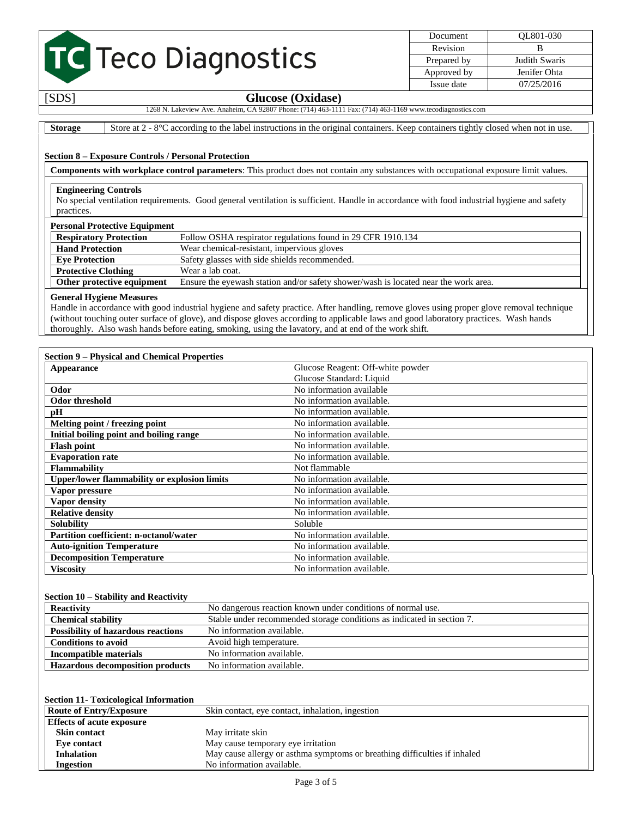## TC Teco Diagnostics

Document QL801-030 Revision B Prepared by Judith Swaris Approved by Jenifer Ohta Issue date 07/25/2016

## $Glucose (Oxidase)$

1268 N. Lakeview Ave. Anaheim, CA 92807 Phone: (714) 463-1111 Fax: (714) 463-1169 www.tecodiagnostics.com

**Storage** Store at 2 - 8°C according to the label instructions in the original containers. Keep containers tightly closed when not in use.

#### **Section 8 – Exposure Controls / Personal Protection**

**Components with workplace control parameters**: This product does not contain any substances with occupational exposure limit values.

#### **Engineering Controls**

No special ventilation requirements. Good general ventilation is sufficient. Handle in accordance with food industrial hygiene and safety practices.

#### **Personal Protective Equipment**

| I croomar 1 roteen ve Equipment |                                                                                     |  |
|---------------------------------|-------------------------------------------------------------------------------------|--|
| <b>Respiratory Protection</b>   | Follow OSHA respirator regulations found in 29 CFR 1910.134                         |  |
| <b>Hand Protection</b>          | Wear chemical-resistant, impervious gloves                                          |  |
| <b>Eve Protection</b>           | Safety glasses with side shields recommended.                                       |  |
| <b>Protective Clothing</b>      | Wear a lab coat.                                                                    |  |
| Other protective equipment      | Ensure the eyewash station and/or safety shower/wash is located near the work area. |  |

#### **General Hygiene Measures**

Handle in accordance with good industrial hygiene and safety practice. After handling, remove gloves using proper glove removal technique (without touching outer surface of glove), and dispose gloves according to applicable laws and good laboratory practices. Wash hands thoroughly. Also wash hands before eating, smoking, using the lavatory, and at end of the work shift.

| <b>Section 9 – Physical and Chemical Properties</b> |                                   |  |  |
|-----------------------------------------------------|-----------------------------------|--|--|
| Appearance                                          | Glucose Reagent: Off-white powder |  |  |
|                                                     | Glucose Standard: Liquid          |  |  |
| Odor                                                | No information available          |  |  |
| <b>Odor threshold</b>                               | No information available.         |  |  |
| pН                                                  | No information available.         |  |  |
| Melting point / freezing point                      | No information available.         |  |  |
| Initial boiling point and boiling range             | No information available.         |  |  |
| <b>Flash point</b>                                  | No information available.         |  |  |
| <b>Evaporation rate</b>                             | No information available.         |  |  |
| <b>Flammability</b>                                 | Not flammable                     |  |  |
| <b>Upper/lower flammability or explosion limits</b> | No information available.         |  |  |
| Vapor pressure                                      | No information available.         |  |  |
| Vapor density                                       | No information available.         |  |  |
| <b>Relative density</b>                             | No information available.         |  |  |
| <b>Solubility</b>                                   | Soluble                           |  |  |
| Partition coefficient: n-octanol/water              | No information available.         |  |  |
| <b>Auto-ignition Temperature</b>                    | No information available.         |  |  |
| <b>Decomposition Temperature</b>                    | No information available.         |  |  |
| <b>Viscosity</b>                                    | No information available.         |  |  |

#### **Section 10 – Stability and Reactivity**

| <b>Reactivity</b>                         | No dangerous reaction known under conditions of normal use.            |  |  |
|-------------------------------------------|------------------------------------------------------------------------|--|--|
| <b>Chemical stability</b>                 | Stable under recommended storage conditions as indicated in section 7. |  |  |
| <b>Possibility of hazardous reactions</b> | No information available.                                              |  |  |
| <b>Conditions to avoid</b>                | Avoid high temperature.                                                |  |  |
| Incompatible materials                    | No information available.                                              |  |  |
| <b>Hazardous decomposition products</b>   | No information available.                                              |  |  |

#### **Section 11- Toxicological Information**

| <b>Route of Entry/Exposure</b>   | Skin contact, eye contact, inhalation, ingestion                          |
|----------------------------------|---------------------------------------------------------------------------|
| <b>Effects of acute exposure</b> |                                                                           |
| <b>Skin contact</b>              | May irritate skin                                                         |
| Eve contact                      | May cause temporary eye irritation                                        |
| <b>Inhalation</b>                | May cause allergy or asthma symptoms or breathing difficulties if inhaled |
| <b>Ingestion</b>                 | No information available.                                                 |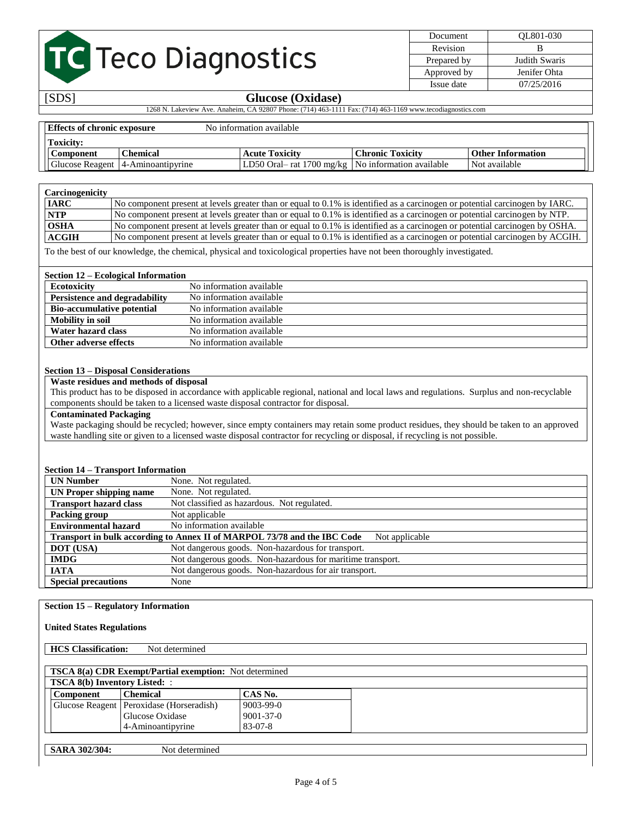## TC Teco Diagnostics

Document QL801-030 Revision B Prepared by Judith Swaris Approved by Jenifer Ohta Issue date 07/25/2016

### [SDS] **Glucose (Oxidase)**

1268 N. Lakeview Ave. Anaheim, CA 92807 Phone: (714) 463-1111 Fax: (714) 463-1169 www.tecodiagnostics.com

| <b>Effects of chronic exposure</b> |                                     | No information available                              |                         |                          |  |
|------------------------------------|-------------------------------------|-------------------------------------------------------|-------------------------|--------------------------|--|
| <b>Toxicity:</b>                   |                                     |                                                       |                         |                          |  |
| Component                          | <b>Chemical</b>                     | <b>Acute Toxicity</b>                                 | <b>Chronic Toxicity</b> | <b>Other Information</b> |  |
|                                    | Glucose Reagent   4-Aminoantipyrine | $LD50$ Oral – rat 1700 mg/kg No information available |                         | Not available            |  |

| Carcinogenicity |                                                                                                                              |
|-----------------|------------------------------------------------------------------------------------------------------------------------------|
| <b>IARC</b>     | No component present at levels greater than or equal to 0.1% is identified as a carcinogen or potential carcinogen by IARC.  |
| <b>NTP</b>      | No component present at levels greater than or equal to 0.1% is identified as a carcinogen or potential carcinogen by NTP.   |
| <b>OSHA</b>     | No component present at levels greater than or equal to 0.1% is identified as a carcinogen or potential carcinogen by OSHA.  |
| <b>ACGIH</b>    | No component present at levels greater than or equal to 0.1% is identified as a carcinogen or potential carcinogen by ACGIH. |

To the best of our knowledge, the chemical, physical and toxicological properties have not been thoroughly investigated.

#### **Section 12 – Ecological Information**

| <b>Ecotoxicity</b>                | No information available |
|-----------------------------------|--------------------------|
| Persistence and degradability     | No information available |
| <b>Bio-accumulative potential</b> | No information available |
| Mobility in soil                  | No information available |
| Water hazard class                | No information available |
| Other adverse effects             | No information available |

#### **Section 13 – Disposal Considerations**

**Waste residues and methods of disposal**

This product has to be disposed in accordance with applicable regional, national and local laws and regulations. Surplus and non-recyclable components should be taken to a licensed waste disposal contractor for disposal.

#### **Contaminated Packaging**

Waste packaging should be recycled; however, since empty containers may retain some product residues, they should be taken to an approved waste handling site or given to a licensed waste disposal contractor for recycling or disposal, if recycling is not possible.

#### **Section 14 – Transport Information**

| <b>UN Number</b>                                                                           | None. Not regulated.                                       |  |  |  |
|--------------------------------------------------------------------------------------------|------------------------------------------------------------|--|--|--|
| UN Proper shipping name                                                                    | None. Not regulated.                                       |  |  |  |
| <b>Transport hazard class</b>                                                              | Not classified as hazardous. Not regulated.                |  |  |  |
| Packing group                                                                              | Not applicable                                             |  |  |  |
| <b>Environmental hazard</b>                                                                | No information available                                   |  |  |  |
| Transport in bulk according to Annex II of MARPOL 73/78 and the IBC Code<br>Not applicable |                                                            |  |  |  |
| <b>DOT</b> (USA)                                                                           | Not dangerous goods. Non-hazardous for transport.          |  |  |  |
| <b>IMDG</b>                                                                                | Not dangerous goods. Non-hazardous for maritime transport. |  |  |  |
| <b>IATA</b>                                                                                | Not dangerous goods. Non-hazardous for air transport.      |  |  |  |
| <b>Special precautions</b>                                                                 | None                                                       |  |  |  |

#### **Section 15 – Regulatory Information**

**United States Regulations**

**HCS Classification:** Not determined

| <b>TSCA 8(a) CDR Exempt/Partial exemption:</b> Not determined |                                            |                 |  |  |
|---------------------------------------------------------------|--------------------------------------------|-----------------|--|--|
| <b>TSCA 8(b) Inventory Listed:</b> :                          |                                            |                 |  |  |
| <b>Component</b>                                              | <b>Chemical</b>                            | CAS No.         |  |  |
|                                                               | Glucose Reagent   Peroxidase (Horseradish) | 9003-99-0       |  |  |
|                                                               | Glucose Oxidase                            | $9001 - 37 - 0$ |  |  |
|                                                               | 4-Aminoantipyrine                          | 83-07-8         |  |  |

|  | <b>SARA 302/304:</b> |
|--|----------------------|
|--|----------------------|